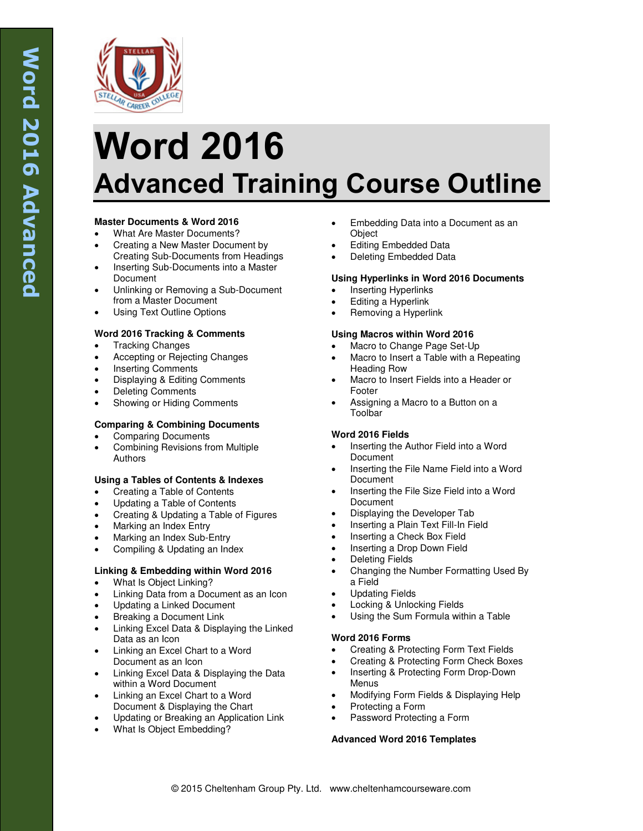

# **Word 2016 Advanced Training Course Outline**

## **Master Documents & Word 2016**

- What Are Master Documents?
- Creating a New Master Document by Creating Sub-Documents from Headings
- Inserting Sub-Documents into a Master Document
- Unlinking or Removing a Sub-Document from a Master Document
- Using Text Outline Options

## **Word 2016 Tracking & Comments**

- Tracking Changes
- Accepting or Rejecting Changes
- Inserting Comments
- Displaying & Editing Comments
- Deleting Comments
- Showing or Hiding Comments

## **Comparing & Combining Documents**

- Comparing Documents
- Combining Revisions from Multiple **Authors**

## **Using a Tables of Contents & Indexes**

- Creating a Table of Contents
- Updating a Table of Contents
- Creating & Updating a Table of Figures
- Marking an Index Entry
- Marking an Index Sub-Entry
- Compiling & Updating an Index

## **Linking & Embedding within Word 2016**

- What Is Object Linking?
- Linking Data from a Document as an Icon
- Updating a Linked Document
- Breaking a Document Link
- Linking Excel Data & Displaying the Linked Data as an Icon
- Linking an Excel Chart to a Word Document as an Icon
- Linking Excel Data & Displaying the Data within a Word Document
- Linking an Excel Chart to a Word Document & Displaying the Chart
- Updating or Breaking an Application Link
- What Is Object Embedding?
- Embedding Data into a Document as an **Object**
- Editing Embedded Data
- Deleting Embedded Data

#### **Using Hyperlinks in Word 2016 Documents**

- Inserting Hyperlinks
- Editing a Hyperlink
- Removing a Hyperlink

## **Using Macros within Word 2016**

- Macro to Change Page Set-Up
- Macro to Insert a Table with a Repeating Heading Row
- Macro to Insert Fields into a Header or Footer
- Assigning a Macro to a Button on a Toolbar

## **Word 2016 Fields**

- Inserting the Author Field into a Word Document
- Inserting the File Name Field into a Word **Document**
- Inserting the File Size Field into a Word Document
- Displaying the Developer Tab
- Inserting a Plain Text Fill-In Field
- Inserting a Check Box Field
- Inserting a Drop Down Field
- Deleting Fields
- Changing the Number Formatting Used By a Field
- Updating Fields
- Locking & Unlocking Fields
- Using the Sum Formula within a Table

## **Word 2016 Forms**

- Creating & Protecting Form Text Fields
- Creating & Protecting Form Check Boxes
- Inserting & Protecting Form Drop-Down Menus
- Modifying Form Fields & Displaying Help
- Protecting a Form
- Password Protecting a Form

## **Advanced Word 2016 Templates**